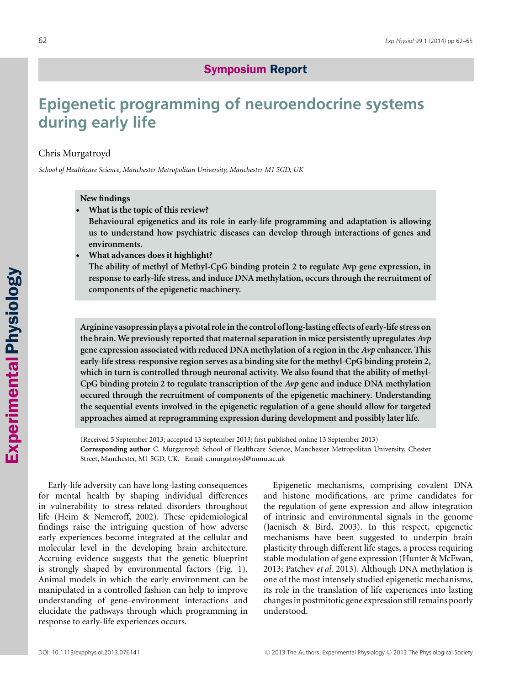# Symposium Symposium Report

# **Epigenetic programming of neuroendocrine systems during early life**

## Chris Murgatroyd

*School of Healthcare Science, Manchester Metropolitan University, Manchester M1 5GD, UK*

## **New findings**

-**What is the topic of this review?**

**Behavioural epigenetics and its role in early-life programming and adaptation is allowing us to understand how psychiatric diseases can develop through interactions of genes and environments.**

-**What advances does it highlight?**

**The ability of methyl of Methyl-CpG binding protein 2 to regulate Avp gene expression, in response to early-life stress, and induce DNA methylation, occurs through the recruitment of components of the epigenetic machinery.**

**Arginine vasopressin plays a pivotal role in the control of long-lasting effects of early-life stress on the brain. We previously reported that maternal separation in mice persistently upregulates** *Avp* **gene expression associated with reduced DNA methylation of a region in the** *Avp* **enhancer. This early-life stress-responsive region serves as a binding site for the methyl-CpG binding protein 2, which in turn is controlled through neuronal activity. We also found that the ability of methyl-CpG binding protein 2 to regulate transcription of the** *Avp* **gene and induce DNA methylation occured through the recruitment of components of the epigenetic machinery. Understanding the sequential events involved in the epigenetic regulation of a gene should allow for targeted approaches aimed at reprogramming expression during development and possibly later life.**

(Received 5 September 2013; accepted 13 September 2013; first published online 13 September 2013) **Corresponding author** C. Murgatroyd: School of Healthcare Science, Manchester Metropolitan University, Chester Street, Manchester, M1 5GD, UK. Email: c.murgatroyd@mmu.ac.uk

Early-life adversity can have long-lasting consequences for mental health by shaping individual differences in vulnerability to stress-related disorders throughout life (Heim & Nemeroff, 2002). These epidemiological findings raise the intriguing question of how adverse early experiences become integrated at the cellular and molecular level in the developing brain architecture. Accruing evidence suggests that the genetic blueprint is strongly shaped by environmental factors (Fig. 1). Animal models in which the early environment can be manipulated in a controlled fashion can help to improve understanding of gene–environment interactions and elucidate the pathways through which programming in response to early-life experiences occurs.

Epigenetic mechanisms, comprising covalent DNA and histone modifications, are prime candidates for the regulation of gene expression and allow integration of intrinsic and environmental signals in the genome (Jaenisch & Bird, 2003). In this respect, epigenetic mechanisms have been suggested to underpin brain plasticity through different life stages, a process requiring stable modulation of gene expression (Hunter & McEwan, 2013; Patchev *et al.* 2013). Although DNA methylation is one of the most intensely studied epigenetic mechanisms, its role in the translation of life experiences into lasting changes in postmitotic gene expression still remains poorly understood.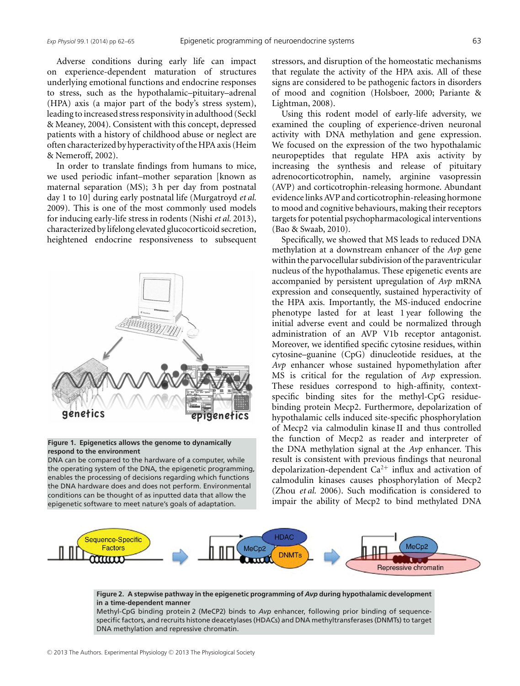Adverse conditions during early life can impact on experience-dependent maturation of structures underlying emotional functions and endocrine responses to stress, such as the hypothalamic–pituitary–adrenal (HPA) axis (a major part of the body's stress system), leading to increased stress responsivity in adulthood (Seckl & Meaney, 2004). Consistent with this concept, depressed patients with a history of childhood abuse or neglect are often characterized by hyperactivity of the HPA axis (Heim & Nemeroff, 2002).

In order to translate findings from humans to mice, we used periodic infant–mother separation [known as maternal separation (MS); 3 h per day from postnatal day 1 to 10] during early postnatal life (Murgatroyd *et al.* 2009). This is one of the most commonly used models for inducing early-life stress in rodents (Nishi *et al.* 2013), characterized by lifelong elevated glucocorticoid secretion, heightened endocrine responsiveness to subsequent



#### **Figure 1. Epigenetics allows the genome to dynamically respond to the environment**

DNA can be compared to the hardware of a computer, while the operating system of the DNA, the epigenetic programming, enables the processing of decisions regarding which functions the DNA hardware does and does not perform. Environmental conditions can be thought of as inputted data that allow the epigenetic software to meet nature's goals of adaptation.

stressors, and disruption of the homeostatic mechanisms that regulate the activity of the HPA axis. All of these signs are considered to be pathogenic factors in disorders of mood and cognition (Holsboer, 2000; Pariante & Lightman, 2008).

Using this rodent model of early-life adversity, we examined the coupling of experience-driven neuronal activity with DNA methylation and gene expression. We focused on the expression of the two hypothalamic neuropeptides that regulate HPA axis activity by increasing the synthesis and release of pituitary adrenocorticotrophin, namely, arginine vasopressin (AVP) and corticotrophin-releasing hormone. Abundant evidence links AVP and corticotrophin-releasing hormone to mood and cognitive behaviours, making their receptors targets for potential psychopharmacological interventions (Bao & Swaab, 2010).

Specifically, we showed that MS leads to reduced DNA methylation at a downstream enhancer of the *Avp* gene within the parvocellular subdivision of the paraventricular nucleus of the hypothalamus. These epigenetic events are accompanied by persistent upregulation of *Avp* mRNA expression and consequently, sustained hyperactivity of the HPA axis. Importantly, the MS-induced endocrine phenotype lasted for at least 1 year following the initial adverse event and could be normalized through administration of an AVP V1b receptor antagonist. Moreover, we identified specific cytosine residues, within cytosine–guanine (CpG) dinucleotide residues, at the *Avp* enhancer whose sustained hypomethylation after MS is critical for the regulation of *Avp* expression. These residues correspond to high-affinity, contextspecific binding sites for the methyl-CpG residuebinding protein Mecp2. Furthermore, depolarization of hypothalamic cells induced site-specific phosphorylation of Mecp2 via calmodulin kinase II and thus controlled the function of Mecp2 as reader and interpreter of the DNA methylation signal at the *Avp* enhancer. This result is consistent with previous findings that neuronal depolarization-dependent  $Ca^{2+}$  influx and activation of calmodulin kinases causes phosphorylation of Mecp2 (Zhou *et al.* 2006). Such modification is considered to impair the ability of Mecp2 to bind methylated DNA



#### **Figure 2. A stepwise pathway in the epigenetic programming of** *Avp* **during hypothalamic development in a time-dependent manner**

Methyl-CpG binding protein 2 (MeCP2) binds to *Avp* enhancer, following prior binding of sequencespecific factors, and recruits histone deacetylases (HDACs) and DNA methyltransferases (DNMTs) to target DNA methylation and repressive chromatin.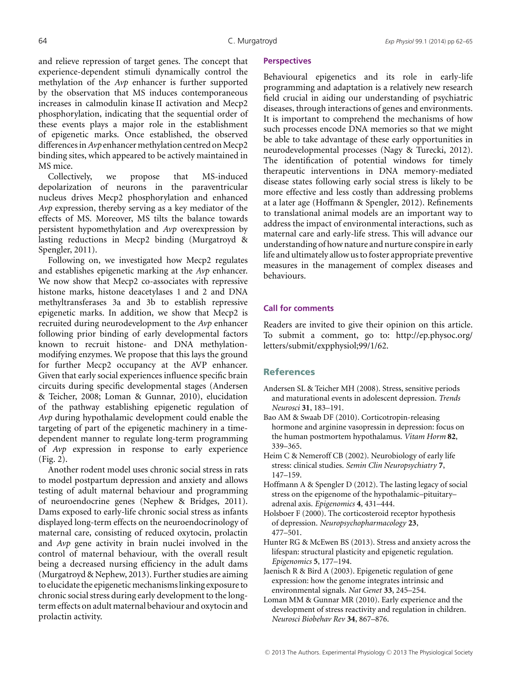and relieve repression of target genes. The concept that experience-dependent stimuli dynamically control the methylation of the *Avp* enhancer is further supported by the observation that MS induces contemporaneous increases in calmodulin kinase II activation and Mecp2 phosphorylation, indicating that the sequential order of these events plays a major role in the establishment of epigenetic marks. Once established, the observed differences in  $A\nu p$  enhancer methylation centred on Mecp2 binding sites, which appeared to be actively maintained in MS mice.

Collectively, we propose that MS-induced depolarization of neurons in the paraventricular nucleus drives Mecp2 phosphorylation and enhanced *Avp* expression, thereby serving as a key mediator of the effects of MS. Moreover, MS tilts the balance towards persistent hypomethylation and *Avp* overexpression by lasting reductions in Mecp2 binding (Murgatroyd & Spengler, 2011).

Following on, we investigated how Mecp2 regulates and establishes epigenetic marking at the *Avp* enhancer. We now show that Mecp2 co-associates with repressive histone marks, histone deacetylases 1 and 2 and DNA methyltransferases 3a and 3b to establish repressive epigenetic marks. In addition, we show that Mecp2 is recruited during neurodevelopment to the *Avp* enhancer following prior binding of early developmental factors known to recruit histone- and DNA methylationmodifying enzymes. We propose that this lays the ground for further Mecp2 occupancy at the AVP enhancer. Given that early social experiences influence specific brain circuits during specific developmental stages (Andersen & Teicher, 2008; Loman & Gunnar, 2010), elucidation of the pathway establishing epigenetic regulation of *Avp* during hypothalamic development could enable the targeting of part of the epigenetic machinery in a timedependent manner to regulate long-term programming of *Avp* expression in response to early experience (Fig. 2).

Another rodent model uses chronic social stress in rats to model postpartum depression and anxiety and allows testing of adult maternal behaviour and programming of neuroendocrine genes (Nephew & Bridges, 2011). Dams exposed to early-life chronic social stress as infants displayed long-term effects on the neuroendocrinology of maternal care, consisting of reduced oxytocin, prolactin and *Avp* gene activity in brain nuclei involved in the control of maternal behaviour, with the overall result being a decreased nursing efficiency in the adult dams (Murgatroyd & Nephew, 2013). Further studies are aiming to elucidate the epigenetic mechanisms linking exposure to chronic social stress during early development to the longterm effects on adult maternal behaviour and oxytocin and prolactin activity.

### **Perspectives**

Behavioural epigenetics and its role in early-life programming and adaptation is a relatively new research field crucial in aiding our understanding of psychiatric diseases, through interactions of genes and environments. It is important to comprehend the mechanisms of how such processes encode DNA memories so that we might be able to take advantage of these early opportunities in neurodevelopmental processes (Nagy & Turecki, 2012). The identification of potential windows for timely therapeutic interventions in DNA memory-mediated disease states following early social stress is likely to be more effective and less costly than addressing problems at a later age (Hoffmann & Spengler, 2012). Refinements to translational animal models are an important way to address the impact of environmental interactions, such as maternal care and early-life stress. This will advance our understanding of how nature and nurture conspire in early life and ultimately allow us to foster appropriate preventive measures in the management of complex diseases and behaviours.

#### **Call for comments**

Readers are invited to give their opinion on this article. To submit a comment, go to: http://ep.physoc.org/ letters/submit/expphysiol;99/1/62.

#### **References**

- Andersen SL & Teicher MH (2008). Stress, sensitive periods and maturational events in adolescent depression. *Trends Neurosci* **31**, 183–191.
- Bao AM & Swaab DF (2010). Corticotropin-releasing hormone and arginine vasopressin in depression: focus on the human postmortem hypothalamus. *Vitam Horm* **82**, 339–365.
- Heim C & Nemeroff CB (2002). Neurobiology of early life stress: clinical studies. *Semin Clin Neuropsychiatry* **7**, 147–159.
- Hoffmann A & Spengler D (2012). The lasting legacy of social stress on the epigenome of the hypothalamic–pituitary– adrenal axis. *Epigenomics* **4**, 431–444.
- Holsboer F (2000). The corticosteroid receptor hypothesis of depression. *Neuropsychopharmacology* **23**, 477–501.
- Hunter RG & McEwen BS (2013). Stress and anxiety across the lifespan: structural plasticity and epigenetic regulation. *Epigenomics* **5**, 177–194.
- Jaenisch R & Bird A (2003). Epigenetic regulation of gene expression: how the genome integrates intrinsic and environmental signals. *Nat Genet* **33**, 245–254.
- Loman MM & Gunnar MR (2010). Early experience and the development of stress reactivity and regulation in children. *Neurosci Biobehav Rev* **34**, 867–876.